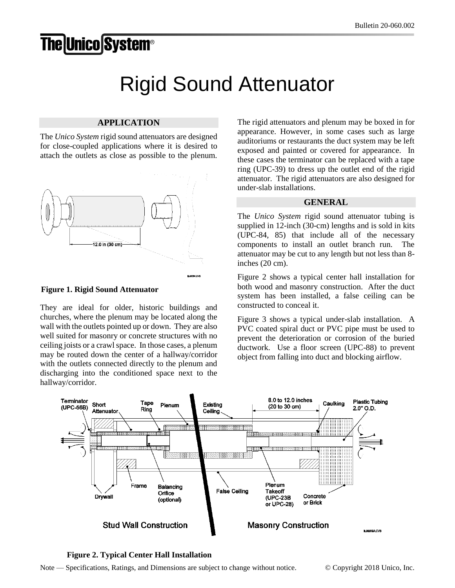## **The Unico System®**

## Rigid Sound Attenuator

## **APPLICATION**

The *Unico System* rigid sound attenuators are designed for close-coupled applications where it is desired to attach the outlets as close as possible to the plenum.



**Figure 1. Rigid Sound Attenuator**

They are ideal for older, historic buildings and churches, where the plenum may be located along the wall with the outlets pointed up or down. They are also well suited for masonry or concrete structures with no ceiling joists or a crawl space. In those cases, a plenum may be routed down the center of a hallway/corridor with the outlets connected directly to the plenum and discharging into the conditioned space next to the hallway/corridor.

The rigid attenuators and plenum may be boxed in for appearance. However, in some cases such as large auditoriums or restaurants the duct system may be left exposed and painted or covered for appearance. In these cases the terminator can be replaced with a tape ring (UPC-39) to dress up the outlet end of the rigid attenuator. The rigid attenuators are also designed for under-slab installations.

## **GENERAL**

The *Unico System* rigid sound attenuator tubing is supplied in 12-inch (30-cm) lengths and is sold in kits (UPC-84, 85) that include all of the necessary components to install an outlet branch run. The attenuator may be cut to any length but not less than 8 inches (20 cm).

Figure 2 shows a typical center hall installation for both wood and masonry construction. After the duct system has been installed, a false ceiling can be constructed to conceal it.

Figure 3 shows a typical under-slab installation. A PVC coated spiral duct or PVC pipe must be used to prevent the deterioration or corrosion of the buried ductwork. Use a floor screen (UPC-88) to prevent object from falling into duct and blocking airflow.



**Figure 2. Typical Center Hall Installation**

Note — Specifications, Ratings, and Dimensions are subject to change without notice. © Copyright 2018 Unico, Inc.